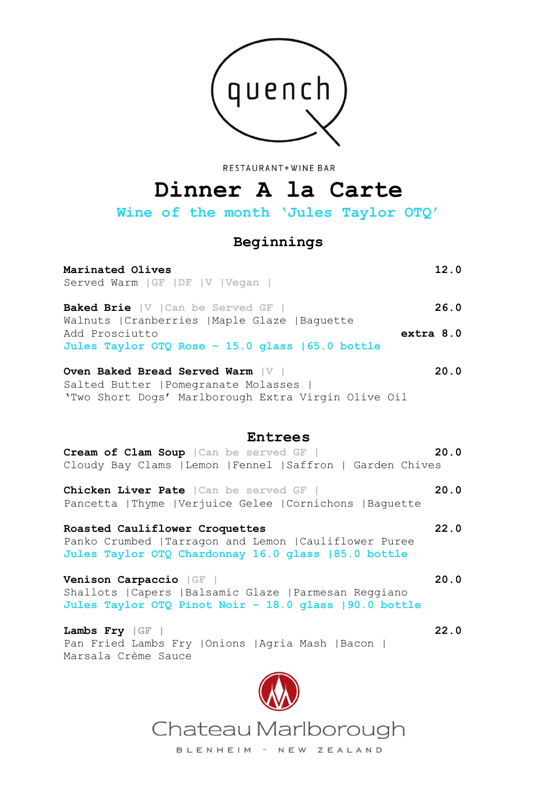

RESTAURANT+WINE BAR

# **Dinner A la Carte**

**Wine of the month 'Jules Taylor OTQ'**

# **Beginnings**

# **Marinated Olives 12.0** Served Warm **|GF |DF |V |Vegan | Baked Brie |V |Can be Served GF | 26.0** Walnuts |Cranberries |Maple Glaze |Baguette Add Prosciutto **extra 8.0 Jules Taylor OTQ Rose – 15.0 glass |65.0 bottle Oven Baked Bread Served Warm |V | 20.0**

Salted Butter |Pomegranate Molasses | 'Two Short Dogs' Marlborough Extra Virgin Olive Oil

# **Entrees**

|  |  | Cream of Clam Soup   Can be served GF |                                                             |  | 20.0 |  |
|--|--|---------------------------------------|-------------------------------------------------------------|--|------|--|
|  |  |                                       | Cloudy Bay Clams   Lemon   Fennel   Saffron   Garden Chives |  |      |  |

**Chicken Liver Pate |Can be served GF | 20.0** Pancetta |Thyme |Verjuice Gelee |Cornichons |Baguette

### **Roasted Cauliflower Croquettes 22.0** Panko Crumbed |Tarragon and Lemon |Cauliflower Puree **Jules Taylor OTQ Chardonnay 16.0 glass |85.0 bottle**

**Venison Carpaccio |GF | 20.0** Shallots |Capers |Balsamic Glaze |Parmesan Reggiano **Jules Taylor OTQ Pinot Noir – 18.0 glass |90.0 bottle**

**Lambs Fry |GF | 22.0** Pan Fried Lambs Fry |Onions |Agria Mash |Bacon | Marsala Crème Sauce



Chateau Marlborough

BLENHEIM - NEW ZEALAND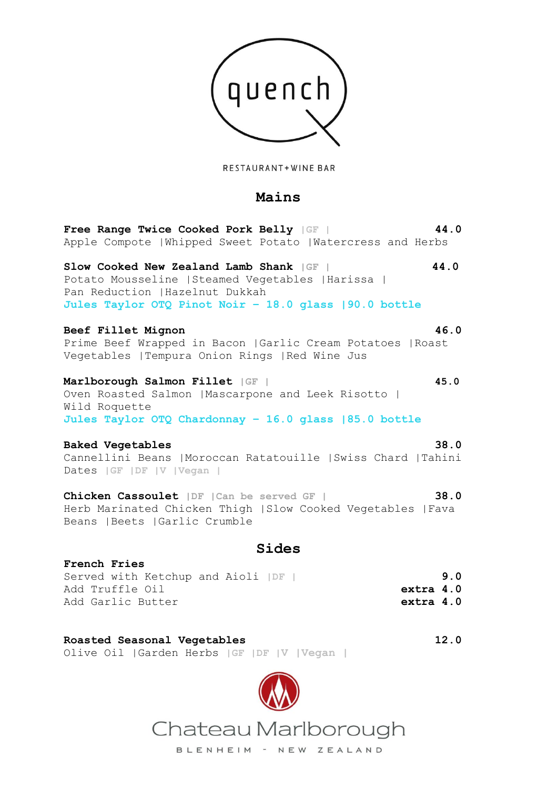

RESTAURANT+WINE BAR

# **Mains**

**Free Range Twice Cooked Pork Belly |GF | 44.0** Apple Compote |Whipped Sweet Potato |Watercress and Herbs

**Slow Cooked New Zealand Lamb Shank |GF | 44.0** Potato Mousseline |Steamed Vegetables |Harissa | Pan Reduction |Hazelnut Dukkah **Jules Taylor OTQ Pinot Noir – 18.0 glass |90.0 bottle**

### **Beef Fillet Mignon 46.0**

Prime Beef Wrapped in Bacon |Garlic Cream Potatoes |Roast Vegetables |Tempura Onion Rings |Red Wine Jus

### **Marlborough Salmon Fillet |GF | 45.0**

Oven Roasted Salmon |Mascarpone and Leek Risotto | Wild Roquette **Jules Taylor OTQ Chardonnay – 16.0 glass |85.0 bottle**

### **Baked Vegetables 38.0**

Cannellini Beans |Moroccan Ratatouille |Swiss Chard |Tahini Dates **|GF |DF |V |Vegan |**

**Chicken Cassoulet |DF |Can be served GF | 38.0** Herb Marinated Chicken Thigh |Slow Cooked Vegetables |Fava Beans |Beets |Garlic Crumble

# **Sides**

### **French Fries**

|                 | Served with Ketchup and Aioli   DF |  |  |           | 9.0 |
|-----------------|------------------------------------|--|--|-----------|-----|
| Add Truffle Oil |                                    |  |  | extra 4.0 |     |
|                 | Add Garlic Butter                  |  |  | extra 4.0 |     |

## **Roasted Seasonal Vegetables 12.0**

Olive Oil |Garden Herbs **|GF |DF |V |Vegan |**